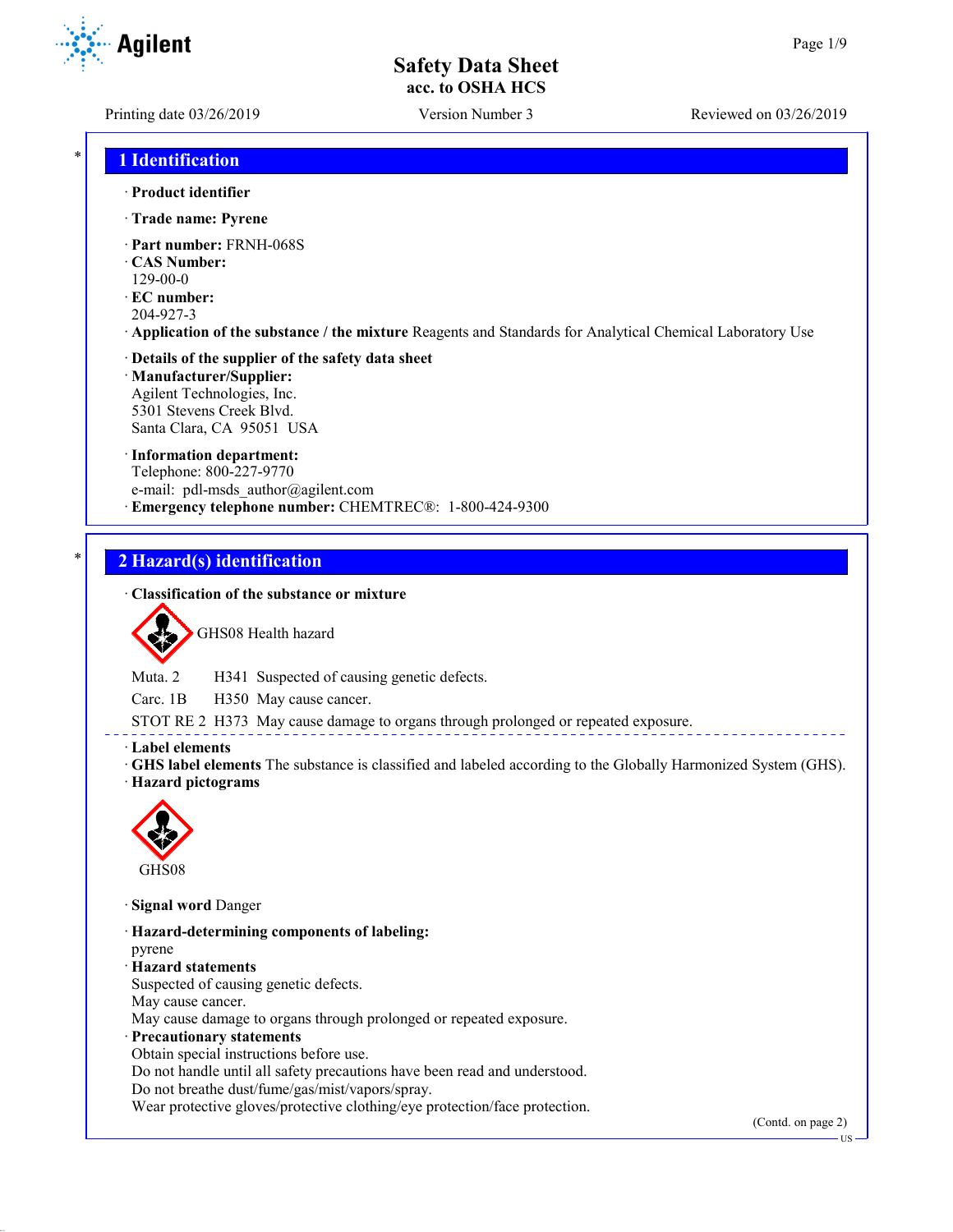**Agilent** 

Printing date 03/26/2019 Version Number 3 Reviewed on 03/26/2019

## \* **1 Identification**

· **Product identifier**

- · **Trade name: Pyrene**
- · **Part number:** FRNH-068S
- · **CAS Number:**
- 129-00-0
- · **EC number:**
- 204-927-3
- · **Application of the substance / the mixture** Reagents and Standards for Analytical Chemical Laboratory Use

#### · **Details of the supplier of the safety data sheet** · **Manufacturer/Supplier:**

Agilent Technologies, Inc. 5301 Stevens Creek Blvd. Santa Clara, CA 95051 USA

#### · **Information department:**

Telephone: 800-227-9770 e-mail: pdl-msds author@agilent.com · **Emergency telephone number:** CHEMTREC®: 1-800-424-9300

### \* **2 Hazard(s) identification**

### · **Classification of the substance or mixture**



GHS08 Health hazard

Muta. 2 H341 Suspected of causing genetic defects.

Carc. 1B H350 May cause cancer.

STOT RE 2 H373 May cause damage to organs through prolonged or repeated exposure.

· **Label elements**

· **GHS label elements** The substance is classified and labeled according to the Globally Harmonized System (GHS). · **Hazard pictograms**



GHS08

· **Signal word** Danger

- · **Hazard-determining components of labeling:** pyrene
- · **Hazard statements**

Suspected of causing genetic defects.

May cause cancer.

May cause damage to organs through prolonged or repeated exposure.

· **Precautionary statements**

Obtain special instructions before use.

Do not handle until all safety precautions have been read and understood.

Do not breathe dust/fume/gas/mist/vapors/spray.

Wear protective gloves/protective clothing/eye protection/face protection.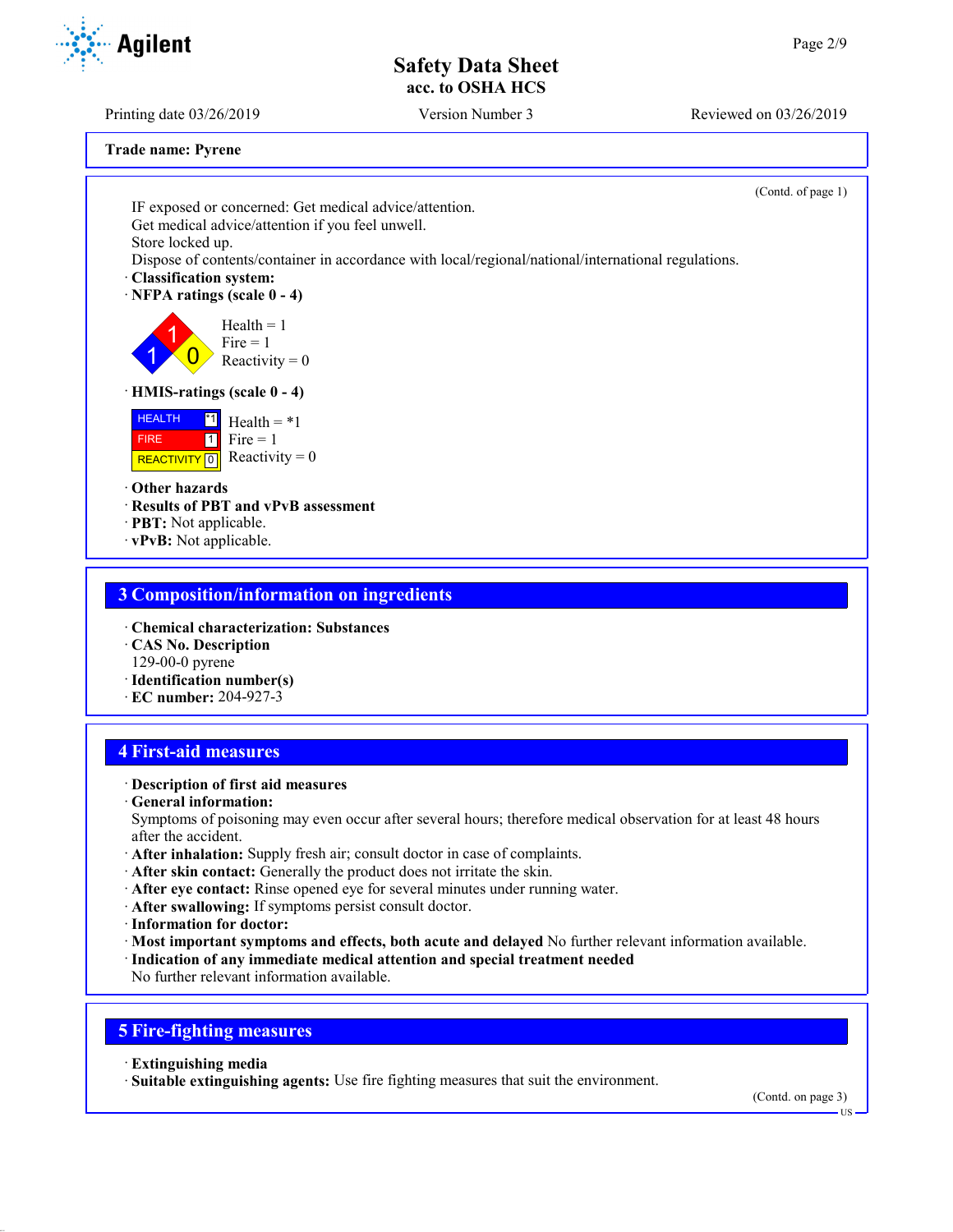Printing date 03/26/2019 Version Number 3 Reviewed on 03/26/2019

**Trade name: Pyrene**

(Contd. of page 1) IF exposed or concerned: Get medical advice/attention. Get medical advice/attention if you feel unwell. Store locked up. Dispose of contents/container in accordance with local/regional/national/international regulations. · **Classification system:** · **NFPA ratings (scale 0 - 4)** 1 1  $\overline{0}$  $Health = 1$  $Fire = 1$ Reactivity  $= 0$ · **HMIS-ratings (scale 0 - 4)** HEALTH FIRE REACTIVITY  $\boxed{0}$  Reactivity = 0  $\overline{1}$  Health = \*1  $1$  Fire = 1 · **Other hazards** · **Results of PBT and vPvB assessment** · **PBT:** Not applicable. · **vPvB:** Not applicable.

### **3 Composition/information on ingredients**

- · **Chemical characterization: Substances**
- · **CAS No. Description**
- 129-00-0 pyrene
- · **Identification number(s)**
- · **EC number:** 204-927-3

### **4 First-aid measures**

### · **Description of first aid measures**

· **General information:**

Symptoms of poisoning may even occur after several hours; therefore medical observation for at least 48 hours after the accident.

- · **After inhalation:** Supply fresh air; consult doctor in case of complaints.
- · **After skin contact:** Generally the product does not irritate the skin.
- · **After eye contact:** Rinse opened eye for several minutes under running water.
- · **After swallowing:** If symptoms persist consult doctor.
- · **Information for doctor:**
- · **Most important symptoms and effects, both acute and delayed** No further relevant information available.
- · **Indication of any immediate medical attention and special treatment needed**
- No further relevant information available.

## **5 Fire-fighting measures**

- · **Extinguishing media**
- · **Suitable extinguishing agents:** Use fire fighting measures that suit the environment.

(Contd. on page 3)



US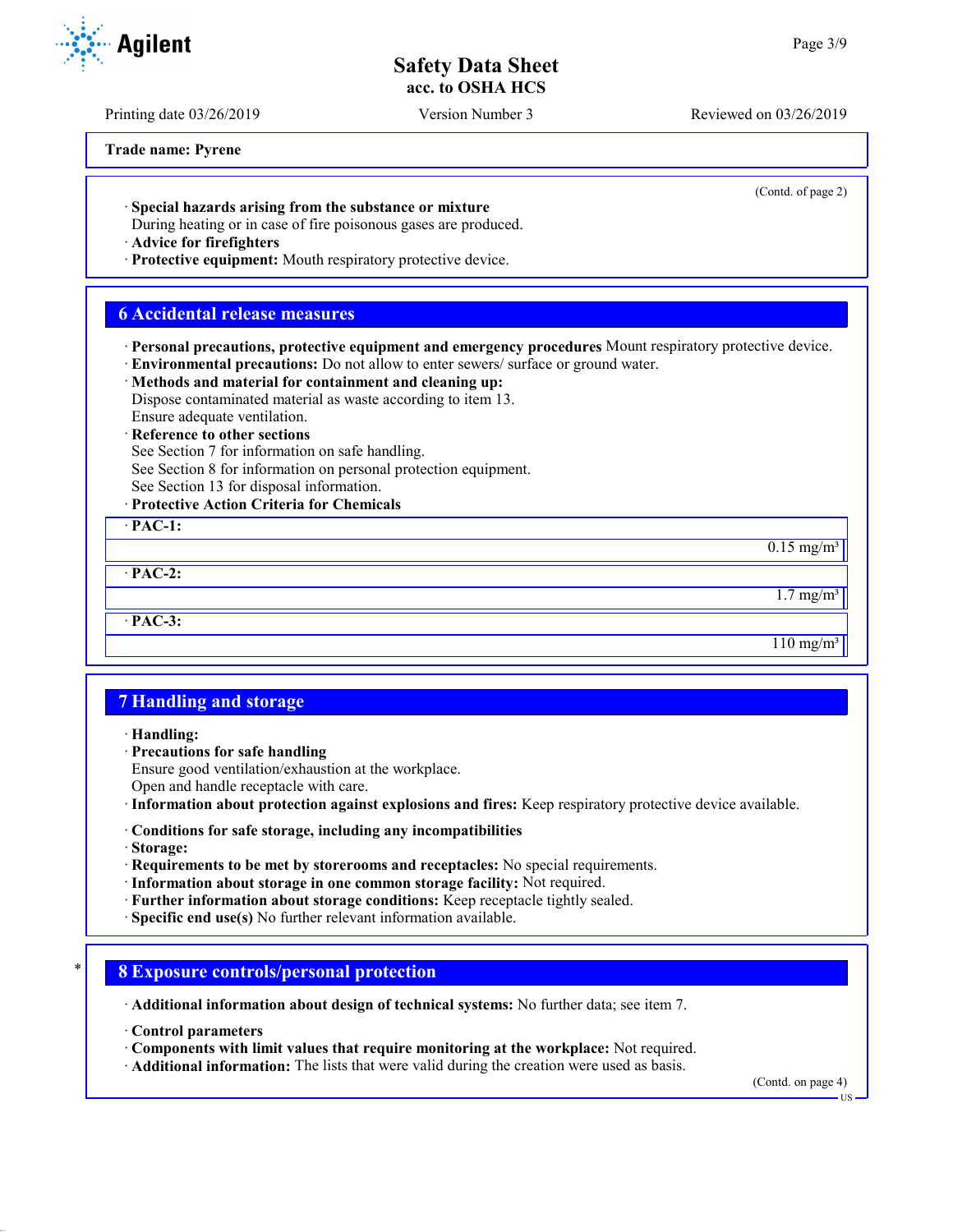Printing date 03/26/2019 Version Number 3 Reviewed on 03/26/2019

**Trade name: Pyrene**

(Contd. of page 2)

 $0.15$  mg/m<sup>3</sup>

 $1.7 \text{ mg/m}^3$ 

 $110 \text{ mg/m}^3$ 

· **Special hazards arising from the substance or mixture**

During heating or in case of fire poisonous gases are produced.

· **Advice for firefighters**

· **Protective equipment:** Mouth respiratory protective device.

### **6 Accidental release measures**

· **Personal precautions, protective equipment and emergency procedures** Mount respiratory protective device.

· **Environmental precautions:** Do not allow to enter sewers/ surface or ground water.

#### · **Methods and material for containment and cleaning up:** Dispose contaminated material as waste according to item 13.

Ensure adequate ventilation.

**Reference to other sections** 

See Section 7 for information on safe handling.

See Section 8 for information on personal protection equipment.

### See Section 13 for disposal information.

· **Protective Action Criteria for Chemicals**

· **PAC-1:** · **PAC-2:**

· **PAC-3:**

## **7 Handling and storage**

· **Handling:**

· **Precautions for safe handling**

Ensure good ventilation/exhaustion at the workplace.

Open and handle receptacle with care.

· **Information about protection against explosions and fires:** Keep respiratory protective device available.

- · **Conditions for safe storage, including any incompatibilities**
- · **Storage:**

· **Requirements to be met by storerooms and receptacles:** No special requirements.

· **Information about storage in one common storage facility:** Not required.

· **Further information about storage conditions:** Keep receptacle tightly sealed.

· **Specific end use(s)** No further relevant information available.

### \* **8 Exposure controls/personal protection**

· **Additional information about design of technical systems:** No further data; see item 7.

· **Control parameters**

· **Components with limit values that require monitoring at the workplace:** Not required.

· **Additional information:** The lists that were valid during the creation were used as basis.

(Contd. on page 4)

US



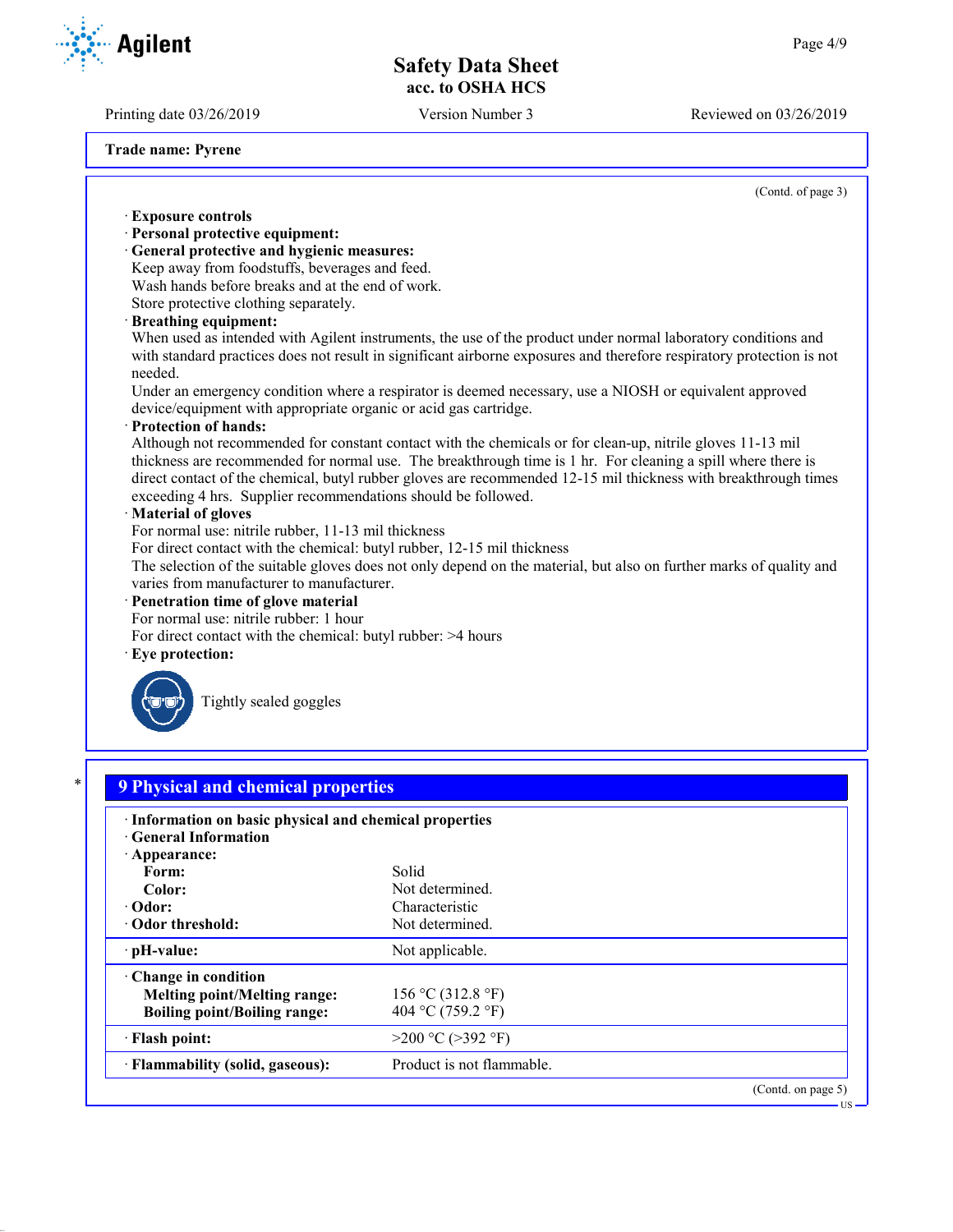(Contd. of page 3)

(Contd. on page 5)

US

# **Safety Data Sheet acc. to OSHA HCS**

Printing date 03/26/2019 Version Number 3 Reviewed on 03/26/2019

**Agilent** 

**Trade name: Pyrene**

· **Exposure controls**

· **Personal protective equipment:**

· **General protective and hygienic measures:** Keep away from foodstuffs, beverages and feed.

· **pH-value:** Not applicable.

**Melting point/Melting range:** 156 °C (312.8 °F) **Boiling point/Boiling range:**  $404 \text{ °C} (759.2 \text{ °F})$  $\cdot$  **Flash point:**  $>200 \degree C (>392 \degree F)$ 

· **Flammability (solid, gaseous):** Product is not flammable.

· **Change in condition**

Wash hands before breaks and at the end of work. Store protective clothing separately. · **Breathing equipment:** When used as intended with Agilent instruments, the use of the product under normal laboratory conditions and with standard practices does not result in significant airborne exposures and therefore respiratory protection is not needed. Under an emergency condition where a respirator is deemed necessary, use a NIOSH or equivalent approved device/equipment with appropriate organic or acid gas cartridge. · **Protection of hands:** Although not recommended for constant contact with the chemicals or for clean-up, nitrile gloves 11-13 mil thickness are recommended for normal use. The breakthrough time is 1 hr. For cleaning a spill where there is direct contact of the chemical, butyl rubber gloves are recommended 12-15 mil thickness with breakthrough times exceeding 4 hrs. Supplier recommendations should be followed. · **Material of gloves** For normal use: nitrile rubber, 11-13 mil thickness For direct contact with the chemical: butyl rubber, 12-15 mil thickness The selection of the suitable gloves does not only depend on the material, but also on further marks of quality and varies from manufacturer to manufacturer. · **Penetration time of glove material** For normal use: nitrile rubber: 1 hour For direct contact with the chemical: butyl rubber: >4 hours Eye protection: Tightly sealed goggles \* **9 Physical and chemical properties** · **Information on basic physical and chemical properties** · **General Information** · **Appearance:** Form: Solid Color: Not determined. · **Odor:** Characteristic · Odor threshold: Not determined.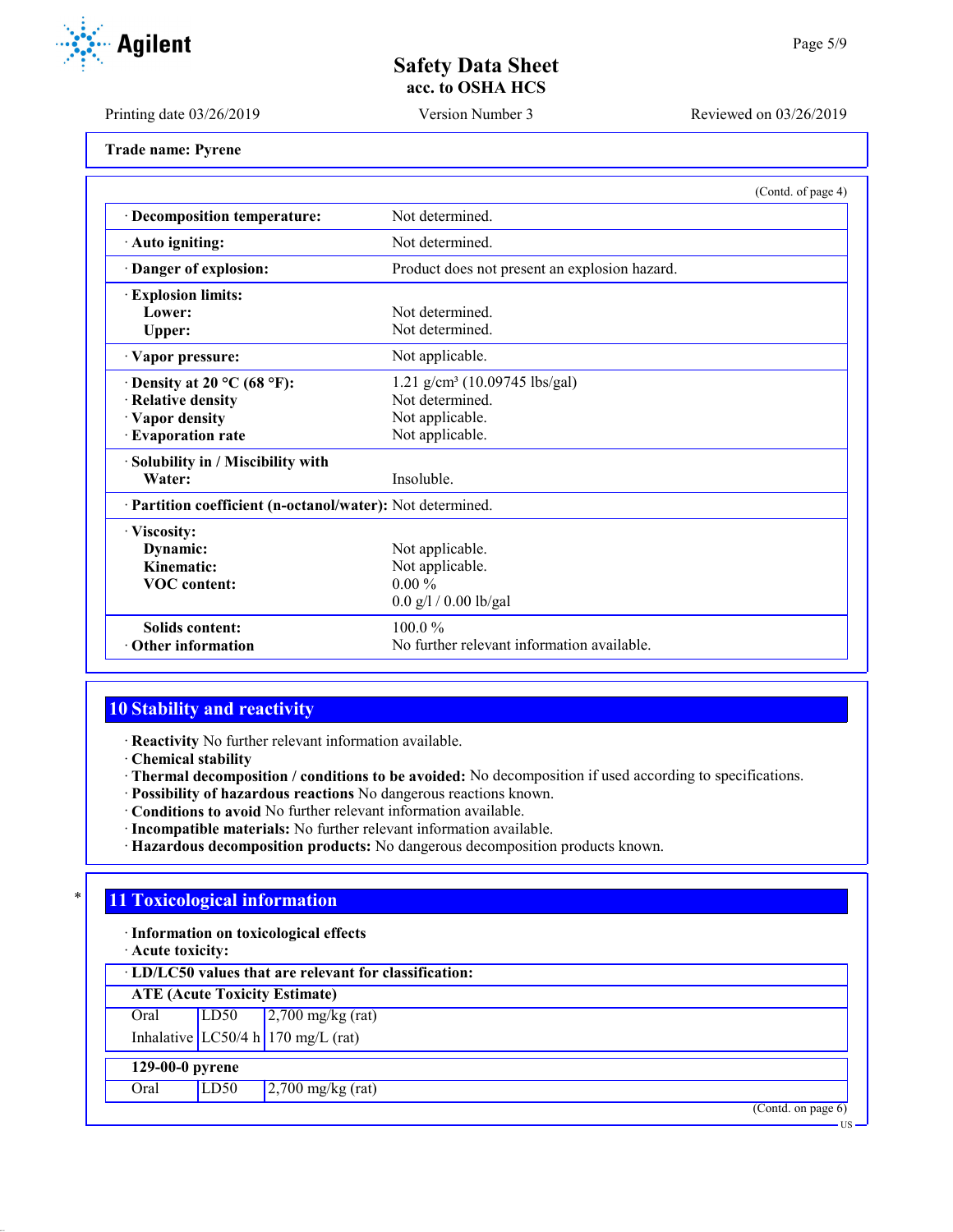Printing date 03/26/2019 Version Number 3 Reviewed on 03/26/2019

|  |  | <b>Trade name: Pyrene</b> |
|--|--|---------------------------|
|--|--|---------------------------|

|                                                            | (Contd. of page 4)                            |  |  |  |
|------------------------------------------------------------|-----------------------------------------------|--|--|--|
| · Decomposition temperature:                               | Not determined.                               |  |  |  |
| · Auto igniting:                                           | Not determined.                               |  |  |  |
| Danger of explosion:                                       | Product does not present an explosion hazard. |  |  |  |
| <b>Explosion limits:</b>                                   |                                               |  |  |  |
| Lower:                                                     | Not determined.                               |  |  |  |
| <b>Upper:</b>                                              | Not determined.                               |  |  |  |
| · Vapor pressure:                                          | Not applicable.                               |  |  |  |
| $\cdot$ Density at 20 °C (68 °F):                          | 1.21 g/cm <sup>3</sup> (10.09745 lbs/gal)     |  |  |  |
| · Relative density                                         | Not determined.                               |  |  |  |
| · Vapor density                                            | Not applicable.                               |  |  |  |
| <b>Evaporation rate</b>                                    | Not applicable.                               |  |  |  |
| · Solubility in / Miscibility with                         |                                               |  |  |  |
| Water:                                                     | Insoluble.                                    |  |  |  |
| · Partition coefficient (n-octanol/water): Not determined. |                                               |  |  |  |
| · Viscosity:                                               |                                               |  |  |  |
| Dynamic:                                                   | Not applicable.                               |  |  |  |
| Kinematic:                                                 | Not applicable.                               |  |  |  |
| <b>VOC</b> content:                                        | $0.00\%$                                      |  |  |  |
|                                                            | $0.0$ g/l / 0.00 lb/gal                       |  |  |  |
| <b>Solids content:</b>                                     | $100.0\%$                                     |  |  |  |
| $\cdot$ Other information                                  | No further relevant information available.    |  |  |  |

# **10 Stability and reactivity**

· **Reactivity** No further relevant information available.

· **Chemical stability**

· **Thermal decomposition / conditions to be avoided:** No decomposition if used according to specifications.

- · **Possibility of hazardous reactions** No dangerous reactions known.
- · **Conditions to avoid** No further relevant information available.
- · **Incompatible materials:** No further relevant information available.
- · **Hazardous decomposition products:** No dangerous decomposition products known.

### **11 Toxicological information**

· **Information on toxicological effects**

· **Acute toxicity:**

· **LD/LC50 values that are relevant for classification:**

**ATE (Acute Toxicity Estimate)** Oral LD50 2,700 mg/kg (rat)

Inhalative  $LC50/4$  h 170 mg/L (rat)

### **129-00-0 pyrene**

Oral LD50 2,700 mg/kg (rat)

(Contd. on page 6)



US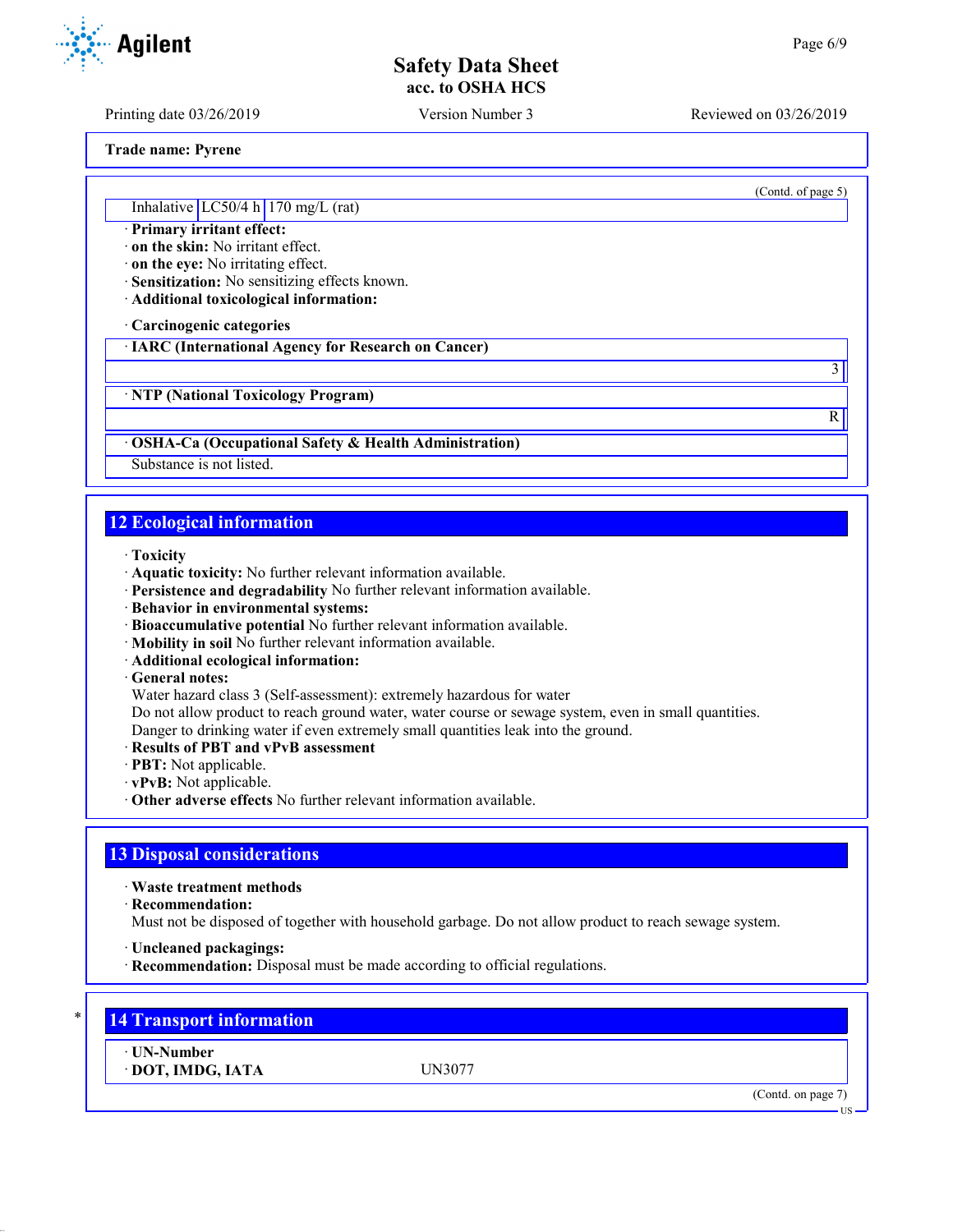Printing date 03/26/2019 Version Number 3 Reviewed on 03/26/2019

(Contd. of page 5)

3

R

**Trade name: Pyrene**

Inhalative  $LC50/4$  h 170 mg/L (rat)

· **Primary irritant effect:**

· **on the skin:** No irritant effect.

· **on the eye:** No irritating effect.

· **Sensitization:** No sensitizing effects known.

· **Additional toxicological information:**

· **Carcinogenic categories**

· **IARC (International Agency for Research on Cancer)**

· **NTP (National Toxicology Program)**

· **OSHA-Ca (Occupational Safety & Health Administration)**

Substance is not listed.

## **12 Ecological information**

· **Toxicity**

- · **Aquatic toxicity:** No further relevant information available.
- · **Persistence and degradability** No further relevant information available.
- · **Behavior in environmental systems:**
- · **Bioaccumulative potential** No further relevant information available.
- · **Mobility in soil** No further relevant information available.
- · **Additional ecological information:**

· **General notes:**

Water hazard class 3 (Self-assessment): extremely hazardous for water

Do not allow product to reach ground water, water course or sewage system, even in small quantities.

Danger to drinking water if even extremely small quantities leak into the ground.

- · **Results of PBT and vPvB assessment**
- · **PBT:** Not applicable.
- · **vPvB:** Not applicable.
- · **Other adverse effects** No further relevant information available.

### **13 Disposal considerations**

· **Waste treatment methods**

· **Recommendation:**

Must not be disposed of together with household garbage. Do not allow product to reach sewage system.

- · **Uncleaned packagings:**
- · **Recommendation:** Disposal must be made according to official regulations.



· **UN-Number**

· **DOT, IMDG, IATA** UN3077

(Contd. on page 7)

**US** 

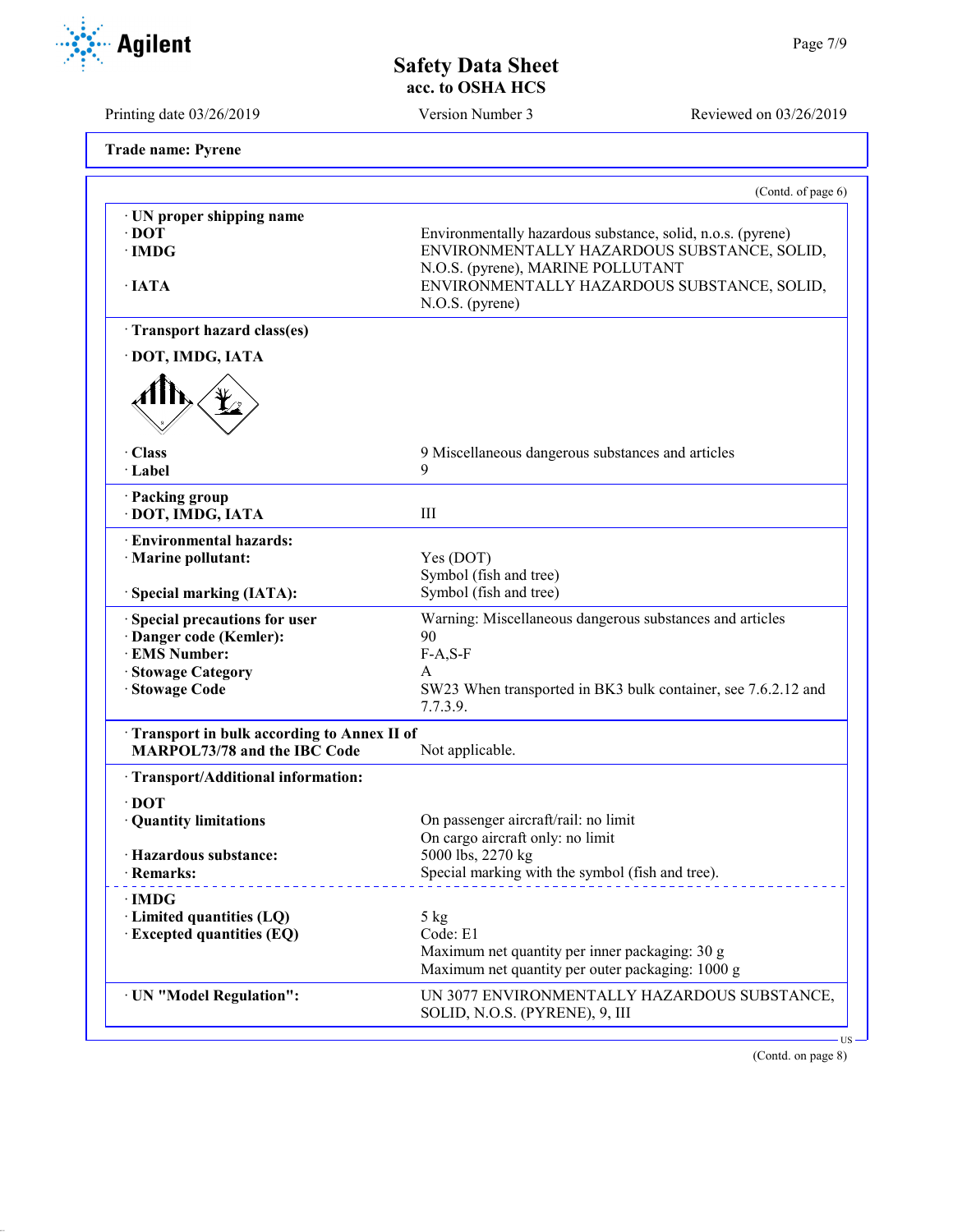Environmentally hazardous substance, solid, n.o.s. (pyrene)

| · UN proper shipping name                                                         |                                                                                                                                                                                                                   |  |
|-----------------------------------------------------------------------------------|-------------------------------------------------------------------------------------------------------------------------------------------------------------------------------------------------------------------|--|
| $\cdot$ DOT<br>$\cdot$ IMDG                                                       | Environmentally hazardous substance, solid, n.o.s. (pyrene)<br>ENVIRONMENTALLY HAZARDOUS SUBSTANCE, SOLID,<br>N.O.S. (pyrene), MARINE POLLUTANT<br>ENVIRONMENTALLY HAZARDOUS SUBSTANCE, SOLID,<br>N.O.S. (pyrene) |  |
| · IATA                                                                            |                                                                                                                                                                                                                   |  |
| Transport hazard class(es)                                                        |                                                                                                                                                                                                                   |  |
| · DOT, IMDG, IATA                                                                 |                                                                                                                                                                                                                   |  |
|                                                                                   |                                                                                                                                                                                                                   |  |
| · Class<br>· Label                                                                | 9 Miscellaneous dangerous substances and articles<br>9                                                                                                                                                            |  |
| · Packing group<br>· DOT, IMDG, IATA                                              | III                                                                                                                                                                                                               |  |
| · Environmental hazards:<br>· Marine pollutant:<br>Special marking (IATA):        | Yes (DOT)<br>Symbol (fish and tree)<br>Symbol (fish and tree)                                                                                                                                                     |  |
| Special precautions for user                                                      | Warning: Miscellaneous dangerous substances and articles                                                                                                                                                          |  |
| · Danger code (Kemler):                                                           | 90                                                                                                                                                                                                                |  |
| · EMS Number:                                                                     | $F-A, S-F$                                                                                                                                                                                                        |  |
| <b>Stowage Category</b><br><b>Stowage Code</b>                                    | A<br>SW23 When transported in BK3 bulk container, see 7.6.2.12 and<br>7.7.3.9.                                                                                                                                    |  |
| Transport in bulk according to Annex II of<br><b>MARPOL73/78 and the IBC Code</b> | Not applicable.                                                                                                                                                                                                   |  |
| · Transport/Additional information:                                               |                                                                                                                                                                                                                   |  |
| $\cdot$ DOT                                                                       |                                                                                                                                                                                                                   |  |
| · Quantity limitations                                                            | On passenger aircraft/rail: no limit                                                                                                                                                                              |  |
| · Hazardous substance:                                                            | On cargo aircraft only: no limit<br>5000 lbs, 2270 kg                                                                                                                                                             |  |
| · Remarks:                                                                        | Special marking with the symbol (fish and tree).                                                                                                                                                                  |  |
| · IMDG                                                                            |                                                                                                                                                                                                                   |  |
| $\cdot$ Limited quantities (LQ)<br><b>Excepted quantities (EQ)</b>                | $5$ kg<br>Code: E1                                                                                                                                                                                                |  |
|                                                                                   | Maximum net quantity per inner packaging: 30 g                                                                                                                                                                    |  |
|                                                                                   | Maximum net quantity per outer packaging: 1000 g                                                                                                                                                                  |  |
| · UN "Model Regulation":                                                          | UN 3077 ENVIRONMENTALLY HAZARDOUS SUBSTANCE,<br>SOLID, N.O.S. (PYRENE), 9, III                                                                                                                                    |  |



**Agilent** 

Printing date 03/26/2019 Version Number 3 Reviewed on 03/26/2019

(Contd. of page 6)

**Trade name: Pyrene**

(Contd. on page 8)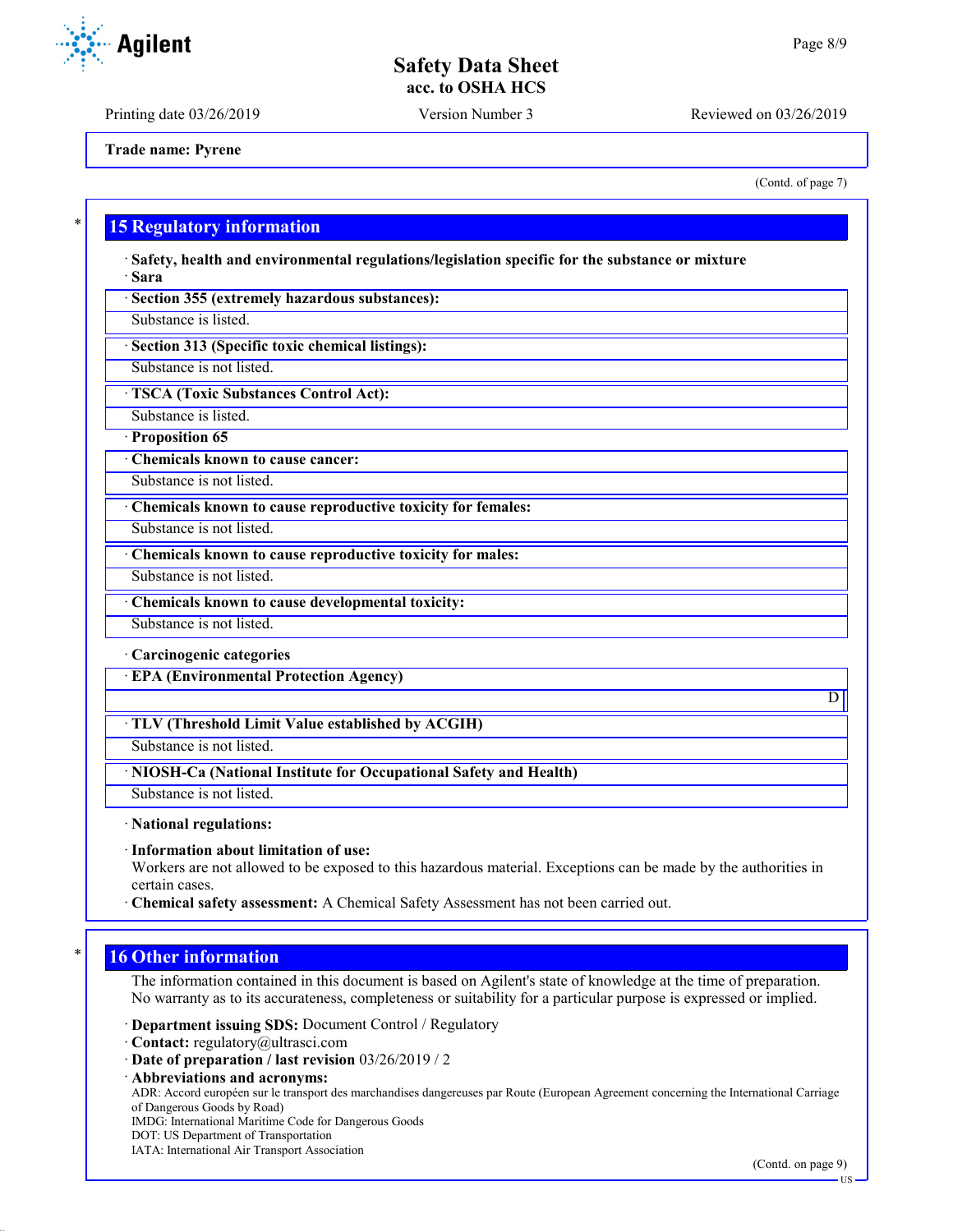Printing date 03/26/2019 Version Number 3 Reviewed on 03/26/2019

**Trade name: Pyrene**

(Contd. of page 7)

### **15 Regulatory information**

· **Safety, health and environmental regulations/legislation specific for the substance or mixture** · **Sara**

· **Section 355 (extremely hazardous substances):**

Substance is listed.

· **Section 313 (Specific toxic chemical listings):**

Substance is not listed.

· **TSCA (Toxic Substances Control Act):**

Substance is listed.

· **Proposition 65**

· **Chemicals known to cause cancer:**

Substance is not listed.

· **Chemicals known to cause reproductive toxicity for females:**

Substance is not listed.

· **Chemicals known to cause reproductive toxicity for males:**

Substance is not listed.

· **Chemicals known to cause developmental toxicity:**

Substance is not listed.

· **Carcinogenic categories**

· **EPA (Environmental Protection Agency)**

#### · **TLV (Threshold Limit Value established by ACGIH)**

Substance is not listed.

· **NIOSH-Ca (National Institute for Occupational Safety and Health)**

Substance is not listed.

· **National regulations:**

· **Information about limitation of use:**

Workers are not allowed to be exposed to this hazardous material. Exceptions can be made by the authorities in certain cases.

· **Chemical safety assessment:** A Chemical Safety Assessment has not been carried out.

### **16 Other information**

The information contained in this document is based on Agilent's state of knowledge at the time of preparation. No warranty as to its accurateness, completeness or suitability for a particular purpose is expressed or implied.

· **Department issuing SDS:** Document Control / Regulatory

· **Contact:** regulatory@ultrasci.com

· **Date of preparation / last revision** 03/26/2019 / 2

· **Abbreviations and acronyms:**

ADR: Accord européen sur le transport des marchandises dangereuses par Route (European Agreement concerning the International Carriage of Dangerous Goods by Road)

IMDG: International Maritime Code for Dangerous Goods

- DOT: US Department of Transportation
- IATA: International Air Transport Association

(Contd. on page 9)

D